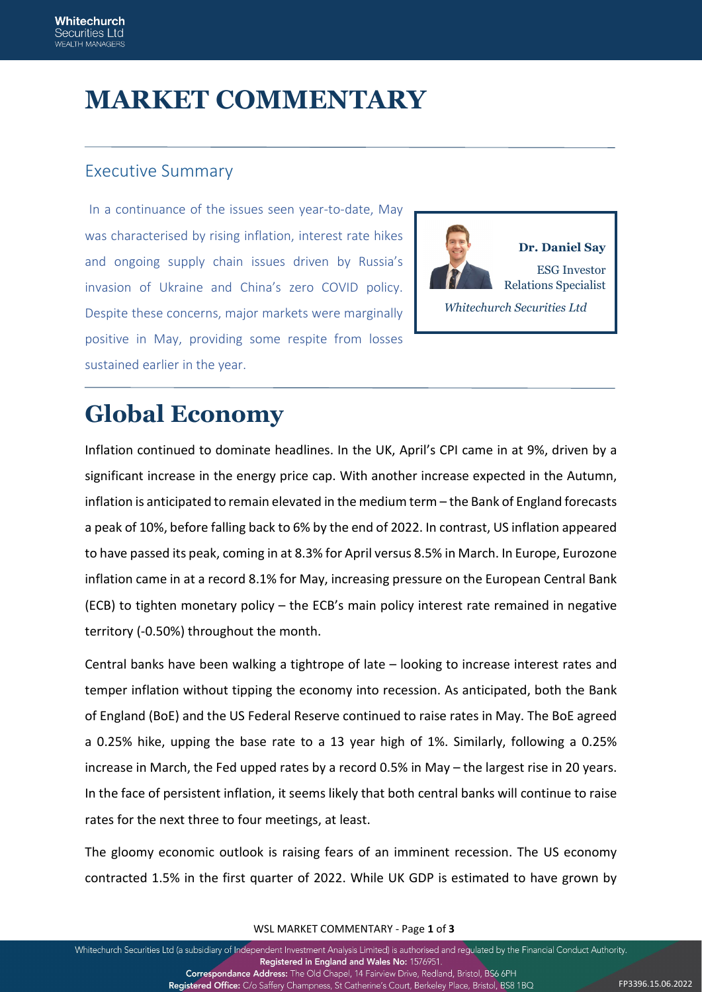# **MARKET COMMENTARY**

### Executive Summary

In a continuance of the issues seen year-to-date, May was characterised by rising inflation, interest rate hikes and ongoing supply chain issues driven by Russia's invasion of Ukraine and China's zero COVID policy. Despite these concerns, major markets were marginally positive in May, providing some respite from losses sustained earlier in the year.



# **Global Economy**

Inflation continued to dominate headlines. In the UK, April's CPI came in at 9%, driven by a significant increase in the energy price cap. With another increase expected in the Autumn, inflation is anticipated to remain elevated in the medium term – the Bank of England forecasts a peak of 10%, before falling back to 6% by the end of 2022. In contrast, US inflation appeared to have passed its peak, coming in at 8.3% for April versus 8.5% in March. In Europe, Eurozone inflation came in at a record 8.1% for May, increasing pressure on the European Central Bank (ECB) to tighten monetary policy – the ECB's main policy interest rate remained in negative territory (-0.50%) throughout the month.

Central banks have been walking a tightrope of late – looking to increase interest rates and temper inflation without tipping the economy into recession. As anticipated, both the Bank of England (BoE) and the US Federal Reserve continued to raise rates in May. The BoE agreed a 0.25% hike, upping the base rate to a 13 year high of 1%. Similarly, following a 0.25% increase in March, the Fed upped rates by a record 0.5% in May – the largest rise in 20 years. In the face of persistent inflation, it seems likely that both central banks will continue to raise rates for the next three to four meetings, at least.

The gloomy economic outlook is raising fears of an imminent recession. The US economy contracted 1.5% in the first quarter of 2022. While UK GDP is estimated to have grown by

WSL MARKET COMMENTARY - Page **1** of **3**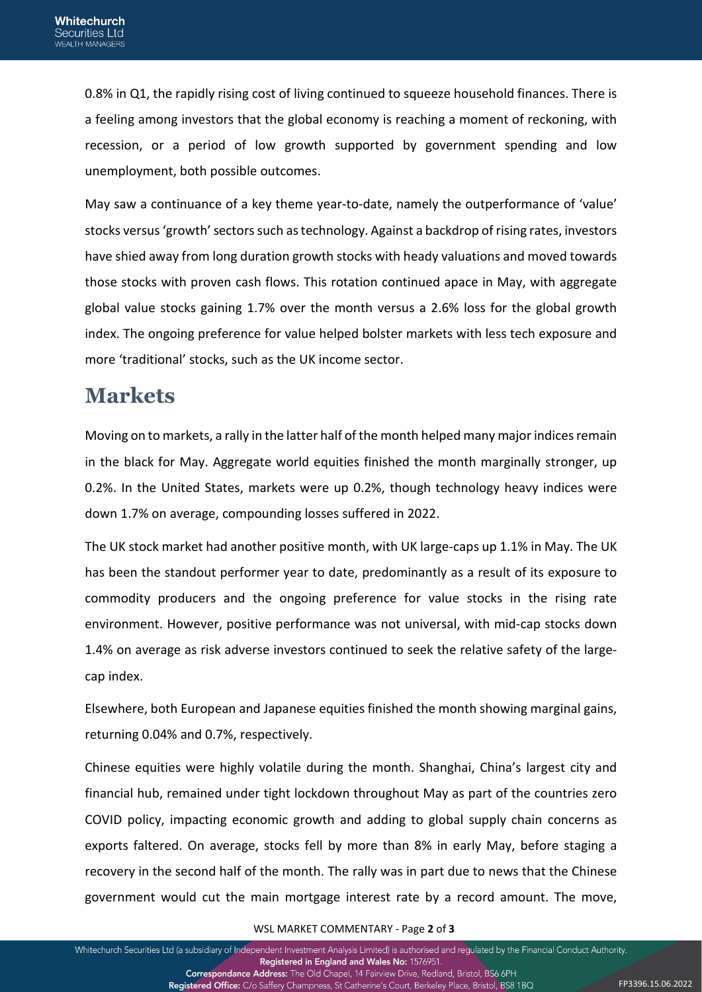0.8% in Q1, the rapidly rising cost of living continued to squeeze household finances. There is a feeling among investors that the global economy is reaching a moment of reckoning, with recession, or a period of low growth supported by government spending and low unemployment, both possible outcomes.

May saw a continuance of a key theme year-to-date, namely the outperformance of 'value' stocks versus 'growth' sectors such as technology. Against a backdrop of rising rates, investors have shied away from long duration growth stocks with heady valuations and moved towards those stocks with proven cash flows. This rotation continued apace in May, with aggregate global value stocks gaining 1.7% over the month versus a 2.6% loss for the global growth index. The ongoing preference for value helped bolster markets with less tech exposure and more 'traditional' stocks, such as the UK income sector.

### **Markets**

Moving on to markets, a rally in the latter half of the month helped many major indices remain in the black for May. Aggregate world equities finished the month marginally stronger, up 0.2%. In the United States, markets were up 0.2%, though technology heavy indices were down 1.7% on average, compounding losses suffered in 2022.

The UK stock market had another positive month, with UK large-caps up 1.1% in May. The UK has been the standout performer year to date, predominantly as a result of its exposure to commodity producers and the ongoing preference for value stocks in the rising rate environment. However, positive performance was not universal, with mid-cap stocks down 1.4% on average as risk adverse investors continued to seek the relative safety of the largecap index.

Elsewhere, both European and Japanese equities finished the month showing marginal gains, returning 0.04% and 0.7%, respectively.

Chinese equities were highly volatile during the month. Shanghai, China's largest city and financial hub, remained under tight lockdown throughout May as part of the countries zero COVID policy, impacting economic growth and adding to global supply chain concerns as exports faltered. On average, stocks fell by more than 8% in early May, before staging a recovery in the second half of the month. The rally was in part due to news that the Chinese government would cut the main mortgage interest rate by a record amount. The move,

#### WSL MARKET COMMENTARY - Page **2** of **3**